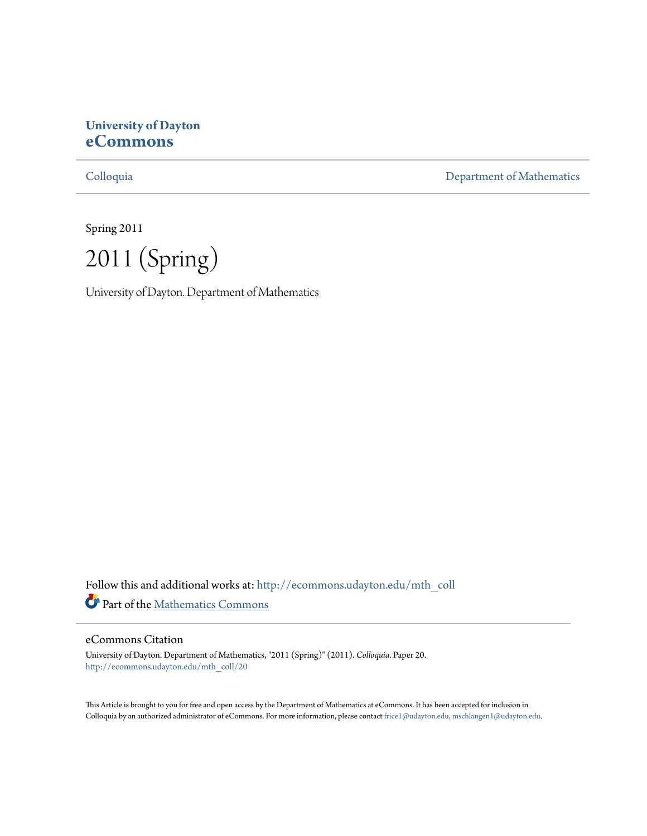# **University of Dayton [eCommons](http://ecommons.udayton.edu?utm_source=ecommons.udayton.edu%2Fmth_coll%2F20&utm_medium=PDF&utm_campaign=PDFCoverPages)**

[Colloquia](http://ecommons.udayton.edu/mth_coll?utm_source=ecommons.udayton.edu%2Fmth_coll%2F20&utm_medium=PDF&utm_campaign=PDFCoverPages) [Department of Mathematics](http://ecommons.udayton.edu/mth?utm_source=ecommons.udayton.edu%2Fmth_coll%2F20&utm_medium=PDF&utm_campaign=PDFCoverPages)

Spring 2011

2011 (Spring)

University of Dayton. Department of Mathematics

Follow this and additional works at: [http://ecommons.udayton.edu/mth\\_coll](http://ecommons.udayton.edu/mth_coll?utm_source=ecommons.udayton.edu%2Fmth_coll%2F20&utm_medium=PDF&utm_campaign=PDFCoverPages) Part of the [Mathematics Commons](http://network.bepress.com/hgg/discipline/174?utm_source=ecommons.udayton.edu%2Fmth_coll%2F20&utm_medium=PDF&utm_campaign=PDFCoverPages)

#### eCommons Citation

University of Dayton. Department of Mathematics, "2011 (Spring)" (2011). *Colloquia.* Paper 20. [http://ecommons.udayton.edu/mth\\_coll/20](http://ecommons.udayton.edu/mth_coll/20?utm_source=ecommons.udayton.edu%2Fmth_coll%2F20&utm_medium=PDF&utm_campaign=PDFCoverPages)

This Article is brought to you for free and open access by the Department of Mathematics at eCommons. It has been accepted for inclusion in Colloquia by an authorized administrator of eCommons. For more information, please contact [frice1@udayton.edu, mschlangen1@udayton.edu.](mailto:frice1@udayton.edu,%20mschlangen1@udayton.edu)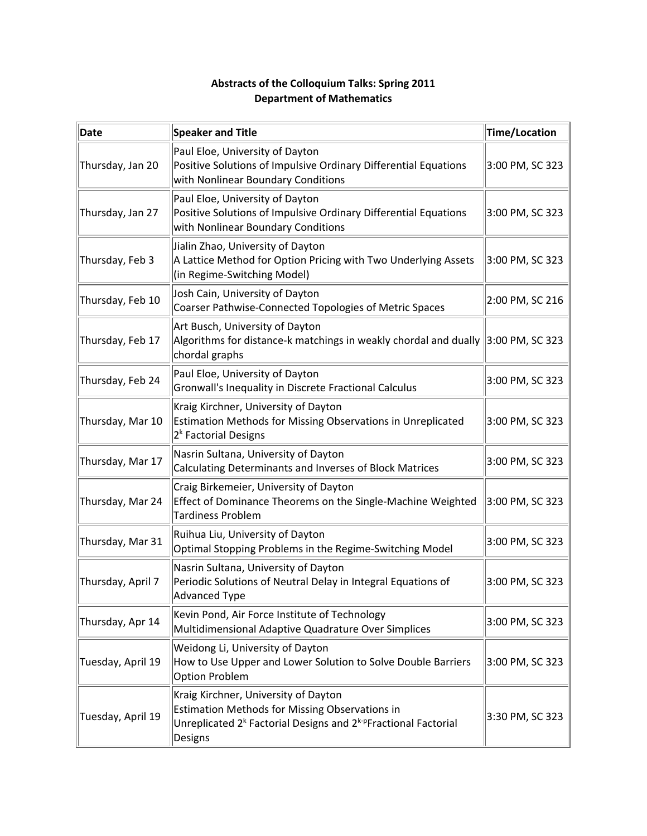# **Abstracts of the Colloquium Talks: Spring 2011 Department of Mathematics**

| Date              | <b>Speaker and Title</b>                                                                                                                                                                            | Time/Location   |
|-------------------|-----------------------------------------------------------------------------------------------------------------------------------------------------------------------------------------------------|-----------------|
| Thursday, Jan 20  | Paul Eloe, University of Dayton<br>Positive Solutions of Impulsive Ordinary Differential Equations<br>with Nonlinear Boundary Conditions                                                            | 3:00 PM, SC 323 |
| Thursday, Jan 27  | Paul Eloe, University of Dayton<br>Positive Solutions of Impulsive Ordinary Differential Equations<br>with Nonlinear Boundary Conditions                                                            | 3:00 PM, SC 323 |
| Thursday, Feb 3   | Jialin Zhao, University of Dayton<br>A Lattice Method for Option Pricing with Two Underlying Assets<br>(in Regime-Switching Model)                                                                  | 3:00 PM, SC 323 |
| Thursday, Feb 10  | Josh Cain, University of Dayton<br>Coarser Pathwise-Connected Topologies of Metric Spaces                                                                                                           | 2:00 PM, SC 216 |
| Thursday, Feb 17  | Art Busch, University of Dayton<br>Algorithms for distance-k matchings in weakly chordal and dually<br>chordal graphs                                                                               | 3:00 PM, SC 323 |
| Thursday, Feb 24  | Paul Eloe, University of Dayton<br>Gronwall's Inequality in Discrete Fractional Calculus                                                                                                            | 3:00 PM, SC 323 |
| Thursday, Mar 10  | Kraig Kirchner, University of Dayton<br>Estimation Methods for Missing Observations in Unreplicated<br>2 <sup>k</sup> Factorial Designs                                                             | 3:00 PM, SC 323 |
| Thursday, Mar 17  | Nasrin Sultana, University of Dayton<br>Calculating Determinants and Inverses of Block Matrices                                                                                                     | 3:00 PM, SC 323 |
| Thursday, Mar 24  | Craig Birkemeier, University of Dayton<br>Effect of Dominance Theorems on the Single-Machine Weighted<br><b>Tardiness Problem</b>                                                                   | 3:00 PM, SC 323 |
| Thursday, Mar 31  | Ruihua Liu, University of Dayton<br>Optimal Stopping Problems in the Regime-Switching Model                                                                                                         | 3:00 PM, SC 323 |
| Thursday, April 7 | Nasrin Sultana, University of Dayton<br>Periodic Solutions of Neutral Delay in Integral Equations of<br><b>Advanced Type</b>                                                                        | 3:00 PM, SC 323 |
| Thursday, Apr 14  | Kevin Pond, Air Force Institute of Technology<br>Multidimensional Adaptive Quadrature Over Simplices                                                                                                | 3:00 PM, SC 323 |
| Tuesday, April 19 | Weidong Li, University of Dayton<br>How to Use Upper and Lower Solution to Solve Double Barriers<br><b>Option Problem</b>                                                                           | 3:00 PM, SC 323 |
| Tuesday, April 19 | Kraig Kirchner, University of Dayton<br><b>Estimation Methods for Missing Observations in</b><br>Unreplicated 2 <sup>k</sup> Factorial Designs and 2 <sup>k-p</sup> Fractional Factorial<br>Designs | 3:30 PM, SC 323 |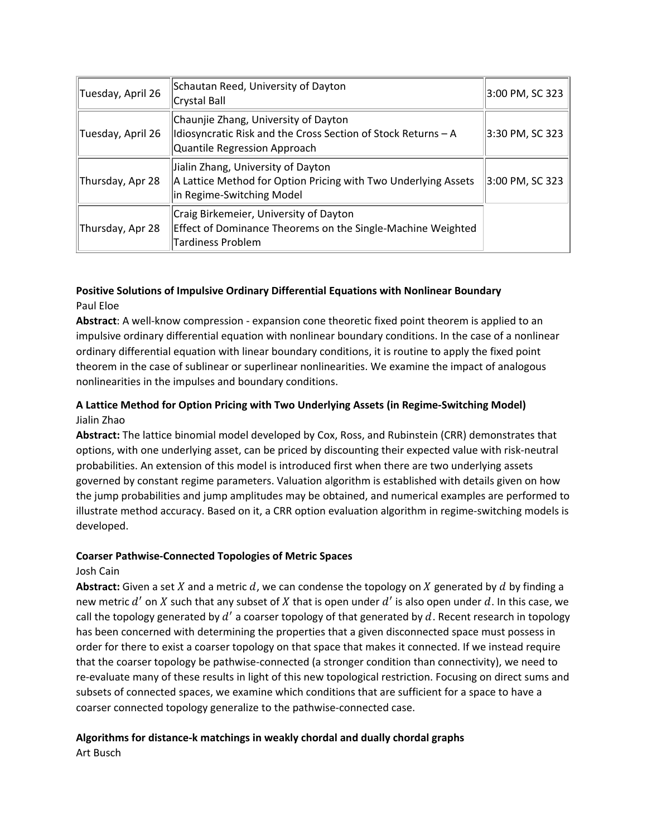| Tuesday, April 26 | Schautan Reed, University of Dayton<br>Crystal Ball                                                                                   | 3:00 PM, SC 323 |
|-------------------|---------------------------------------------------------------------------------------------------------------------------------------|-----------------|
| Tuesday, April 26 | Chaunjie Zhang, University of Dayton<br>Idiosyncratic Risk and the Cross Section of Stock Returns - A<br>Quantile Regression Approach | 3:30 PM, SC 323 |
| Thursday, Apr 28  | Jialin Zhang, University of Dayton<br>A Lattice Method for Option Pricing with Two Underlying Assets<br>in Regime-Switching Model     | 3:00 PM, SC 323 |
| Thursday, Apr 28  | Craig Birkemeier, University of Dayton<br>Effect of Dominance Theorems on the Single-Machine Weighted<br><b>Tardiness Problem</b>     |                 |

# **Positive Solutions of Impulsive Ordinary Differential Equations with Nonlinear Boundary** Paul Eloe

Abstract: A well-know compression - expansion cone theoretic fixed point theorem is applied to an impulsive ordinary differential equation with nonlinear boundary conditions. In the case of a nonlinear ordinary differential equation with linear boundary conditions, it is routine to apply the fixed point theorem in the case of sublinear or superlinear nonlinearities. We examine the impact of analogous nonlinearities in the impulses and boundary conditions.

# **A Lattice Method for Option Pricing with Two Underlying Assets (in Regime‐Switching Model)** Jialin Zhao

**Abstract:** The lattice binomial model developed by Cox, Ross, and Rubinstein (CRR) demonstrates that options, with one underlying asset, can be priced by discounting their expected value with risk‐neutral probabilities. An extension of this model is introduced first when there are two underlying assets governed by constant regime parameters. Valuation algorithm is established with details given on how the jump probabilities and jump amplitudes may be obtained, and numerical examples are performed to illustrate method accuracy. Based on it, a CRR option evaluation algorithm in regime‐switching models is developed.

# **Coarser Pathwise‐Connected Topologies of Metric Spaces**

# Josh Cain

**Abstract:** Given a set  $X$  and a metric  $d$ , we can condense the topology on  $X$  generated by  $d$  by finding a new metric  $d'$  on X such that any subset of X that is open under  $d'$  is also open under  $d$ . In this case, we call the topology generated by  $d'$  a coarser topology of that generated by  $d$ . Recent research in topology has been concerned with determining the properties that a given disconnected space must possess in order for there to exist a coarser topology on that space that makes it connected. If we instead require that the coarser topology be pathwise‐connected (a stronger condition than connectivity), we need to re-evaluate many of these results in light of this new topological restriction. Focusing on direct sums and subsets of connected spaces, we examine which conditions that are sufficient for a space to have a coarser connected topology generalize to the pathwise‐connected case.

# **Algorithms for distance‐k matchings in weakly chordal and dually chordal graphs**

Art Busch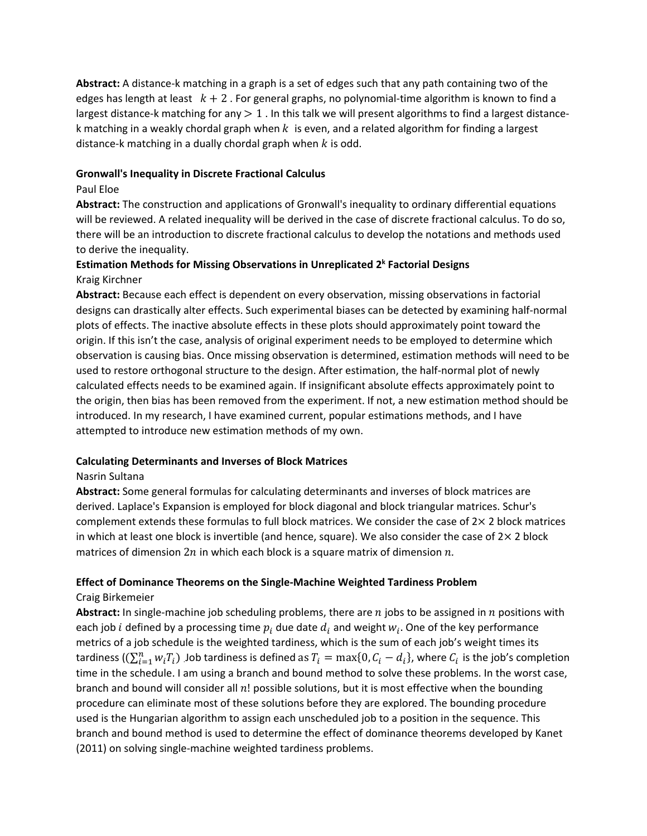**Abstract:** A distance‐k matching in a graph is a set of edges such that any path containing two of the edges has length at least  $k + 2$ . For general graphs, no polynomial-time algorithm is known to find a largest distance-k matching for any  $> 1$ . In this talk we will present algorithms to find a largest distancek matching in a weakly chordal graph when  $k_i$  is even, and a related algorithm for finding a largest distance-k matching in a dually chordal graph when  $k$  is odd.

#### **Gronwall's Inequality in Discrete Fractional Calculus**

#### Paul Eloe

**Abstract:** The construction and applications of Gronwall's inequality to ordinary differential equations will be reviewed. A related inequality will be derived in the case of discrete fractional calculus. To do so, there will be an introduction to discrete fractional calculus to develop the notations and methods used to derive the inequality.

# **Estimation Methods for Missing Observations in Unreplicated 2k Factorial Designs** Kraig Kirchner

**Abstract:** Because each effect is dependent on every observation, missing observations in factorial designs can drastically alter effects. Such experimental biases can be detected by examining half‐normal plots of effects. The inactive absolute effects in these plots should approximately point toward the origin. If this isn't the case, analysis of original experiment needs to be employed to determine which observation is causing bias. Once missing observation is determined, estimation methods will need to be used to restore orthogonal structure to the design. After estimation, the half-normal plot of newly calculated effects needs to be examined again. If insignificant absolute effects approximately point to the origin, then bias has been removed from the experiment. If not, a new estimation method should be introduced. In my research, I have examined current, popular estimations methods, and I have attempted to introduce new estimation methods of my own.

# **Calculating Determinants and Inverses of Block Matrices**

#### Nasrin Sultana

**Abstract:** Some general formulas for calculating determinants and inverses of block matrices are derived. Laplace's Expansion is employed for block diagonal and block triangular matrices. Schur's complement extends these formulas to full block matrices. We consider the case of  $2\times 2$  block matrices in which at least one block is invertible (and hence, square). We also consider the case of  $2\times 2$  block matrices of dimension  $2n$  in which each block is a square matrix of dimension  $n$ .

# **Effect of Dominance Theorems on the Single‐Machine Weighted Tardiness Problem**

#### Craig Birkemeier

**Abstract:** In single-machine job scheduling problems, there are  $n$  jobs to be assigned in  $n$  positions with each job *i* defined by a processing time  $p_i$  due date  $d_i$  and weight  $w_i$ . One of the key performance metrics of a job schedule is the weighted tardiness, which is the sum of each job's weight times its tardiness ( $(\sum_{i=1}^n w_iT_i)$  .Job tardiness is defined as  $T_i = \max\{0,C_i-d_i\}$ , where  $C_i$  is the job's completion time in the schedule. I am using a branch and bound method to solve these problems. In the worst case, branch and bound will consider all  $n!$  possible solutions, but it is most effective when the bounding procedure can eliminate most of these solutions before they are explored. The bounding procedure used is the Hungarian algorithm to assign each unscheduled job to a position in the sequence. This branch and bound method is used to determine the effect of dominance theorems developed by Kanet (2011) on solving single‐machine weighted tardiness problems.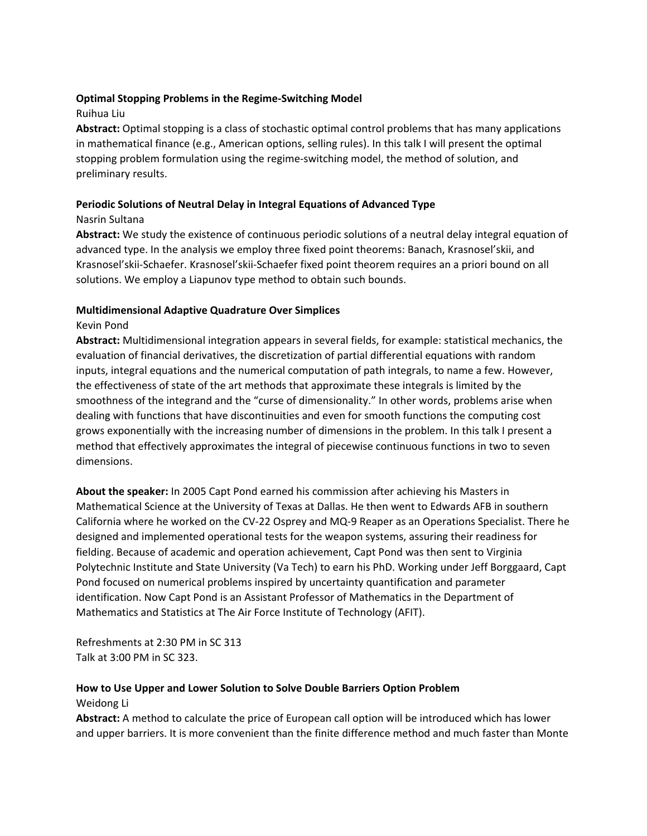#### **Optimal Stopping Problems in the Regime‐Switching Model**

#### Ruihua Liu

**Abstract:** Optimal stopping is a class of stochastic optimal control problems that has many applications in mathematical finance (e.g., American options, selling rules). In this talk I will present the optimal stopping problem formulation using the regime‐switching model, the method of solution, and preliminary results.

## **Periodic Solutions of Neutral Delay in Integral Equations of Advanced Type**

## Nasrin Sultana

**Abstract:** We study the existence of continuous periodic solutions of a neutral delay integral equation of advanced type. In the analysis we employ three fixed point theorems: Banach, Krasnosel'skii, and Krasnosel'skii‐Schaefer. Krasnosel'skii‐Schaefer fixed point theorem requires an a priori bound on all solutions. We employ a Liapunov type method to obtain such bounds.

## **Multidimensional Adaptive Quadrature Over Simplices**

## Kevin Pond

**Abstract:** Multidimensional integration appears in several fields, for example: statistical mechanics, the evaluation of financial derivatives, the discretization of partial differential equations with random inputs, integral equations and the numerical computation of path integrals, to name a few. However, the effectiveness of state of the art methods that approximate these integrals is limited by the smoothness of the integrand and the "curse of dimensionality." In other words, problems arise when dealing with functions that have discontinuities and even for smooth functions the computing cost grows exponentially with the increasing number of dimensions in the problem. In this talk I present a method that effectively approximates the integral of piecewise continuous functions in two to seven dimensions.

**About the speaker:** In 2005 Capt Pond earned his commission after achieving his Masters in Mathematical Science at the University of Texas at Dallas. He then went to Edwards AFB in southern California where he worked on the CV‐22 Osprey and MQ‐9 Reaper as an Operations Specialist. There he designed and implemented operational tests for the weapon systems, assuring their readiness for fielding. Because of academic and operation achievement, Capt Pond was then sent to Virginia Polytechnic Institute and State University (Va Tech) to earn his PhD. Working under Jeff Borggaard, Capt Pond focused on numerical problems inspired by uncertainty quantification and parameter identification. Now Capt Pond is an Assistant Professor of Mathematics in the Department of Mathematics and Statistics at The Air Force Institute of Technology (AFIT).

Refreshments at 2:30 PM in SC 313 Talk at 3:00 PM in SC 323.

#### **How to Use Upper and Lower Solution to Solve Double Barriers Option Problem**

#### Weidong Li

**Abstract:** A method to calculate the price of European call option will be introduced which has lower and upper barriers. It is more convenient than the finite difference method and much faster than Monte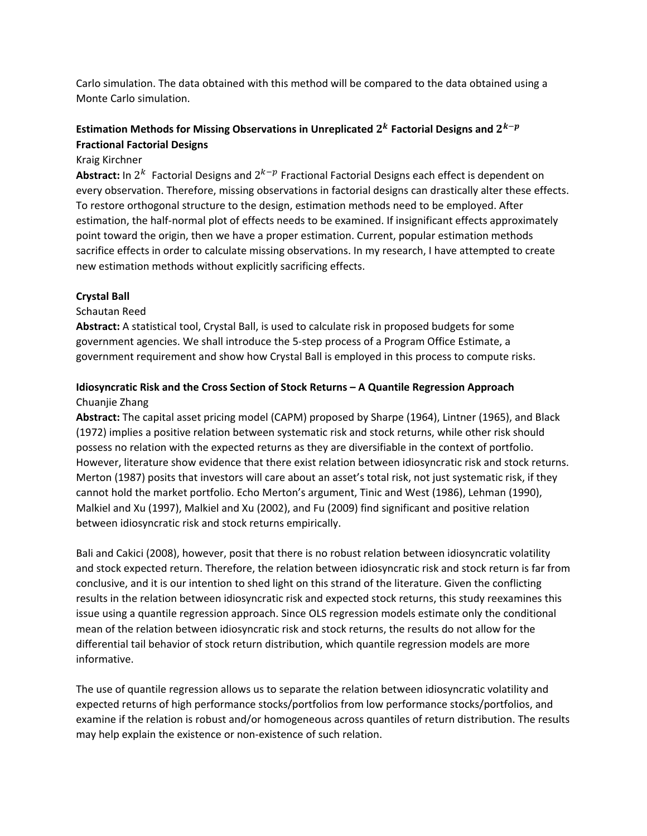Carlo simulation. The data obtained with this method will be compared to the data obtained using a Monte Carlo simulation.

# **Estimation** Methods for Missing Observations in Unreplicated  $2^k$  Factorial Designs and  $2^{k-p}$ **Fractional Factorial Designs**

## Kraig Kirchner

Abstract: In  $2^k$  Factorial Designs and  $2^{k-p}$  Fractional Factorial Designs each effect is dependent on every observation. Therefore, missing observations in factorial designs can drastically alter these effects. To restore orthogonal structure to the design, estimation methods need to be employed. After estimation, the half‐normal plot of effects needs to be examined. If insignificant effects approximately point toward the origin, then we have a proper estimation. Current, popular estimation methods sacrifice effects in order to calculate missing observations. In my research, I have attempted to create new estimation methods without explicitly sacrificing effects.

#### **Crystal Ball**

## Schautan Reed

**Abstract:** A statistical tool, Crystal Ball, is used to calculate risk in proposed budgets for some government agencies. We shall introduce the 5‐step process of a Program Office Estimate, a government requirement and show how Crystal Ball is employed in this process to compute risks.

## **Idiosyncratic Risk and the Cross Section of Stock Returns – A Quantile Regression Approach** Chuanjie Zhang

**Abstract:** The capital asset pricing model (CAPM) proposed by Sharpe (1964), Lintner (1965), and Black (1972) implies a positive relation between systematic risk and stock returns, while other risk should possess no relation with the expected returns as they are diversifiable in the context of portfolio. However, literature show evidence that there exist relation between idiosyncratic risk and stock returns. Merton (1987) posits that investors will care about an asset's total risk, not just systematic risk, if they cannot hold the market portfolio. Echo Merton's argument, Tinic and West (1986), Lehman (1990), Malkiel and Xu (1997), Malkiel and Xu (2002), and Fu (2009) find significant and positive relation between idiosyncratic risk and stock returns empirically.

Bali and Cakici (2008), however, posit that there is no robust relation between idiosyncratic volatility and stock expected return. Therefore, the relation between idiosyncratic risk and stock return is far from conclusive, and it is our intention to shed light on this strand of the literature. Given the conflicting results in the relation between idiosyncratic risk and expected stock returns, this study reexamines this issue using a quantile regression approach. Since OLS regression models estimate only the conditional mean of the relation between idiosyncratic risk and stock returns, the results do not allow for the differential tail behavior of stock return distribution, which quantile regression models are more informative.

The use of quantile regression allows us to separate the relation between idiosyncratic volatility and expected returns of high performance stocks/portfolios from low performance stocks/portfolios, and examine if the relation is robust and/or homogeneous across quantiles of return distribution. The results may help explain the existence or non-existence of such relation.